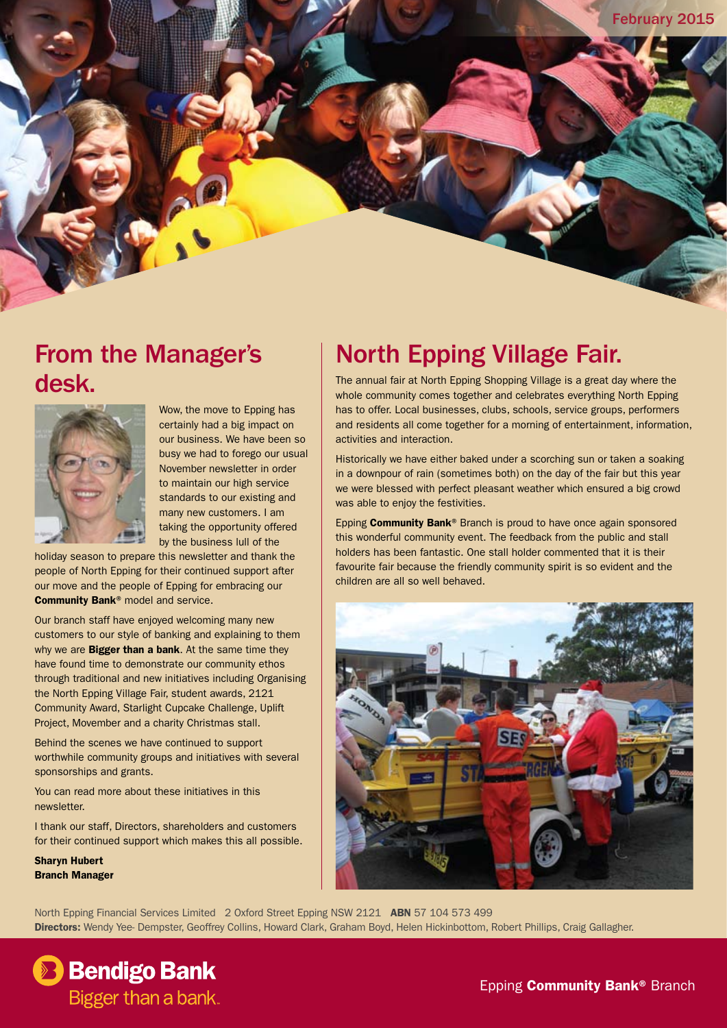#### From the Manager's desk.



Wow, the move to Epping has certainly had a big impact on our business. We have been so busy we had to forego our usual November newsletter in order to maintain our high service standards to our existing and many new customers. I am taking the opportunity offered by the business lull of the

holiday season to prepare this newsletter and thank the people of North Epping for their continued support after our move and the people of Epping for embracing our Community Bank® model and service.

Our branch staff have enjoyed welcoming many new customers to our style of banking and explaining to them why we are **Bigger than a bank**. At the same time they have found time to demonstrate our community ethos through traditional and new initiatives including Organising the North Epping Village Fair, student awards, 2121 Community Award, Starlight Cupcake Challenge, Uplift Project, Movember and a charity Christmas stall.

Behind the scenes we have continued to support worthwhile community groups and initiatives with several sponsorships and grants.

You can read more about these initiatives in this newsletter.

I thank our staff, Directors, shareholders and customers for their continued support which makes this all possible.

Sharyn Hubert Branch Manager

### North Epping Village Fair.

The annual fair at North Epping Shopping Village is a great day where the whole community comes together and celebrates everything North Epping has to offer. Local businesses, clubs, schools, service groups, performers and residents all come together for a morning of entertainment, information, activities and interaction.

Historically we have either baked under a scorching sun or taken a soaking in a downpour of rain (sometimes both) on the day of the fair but this year we were blessed with perfect pleasant weather which ensured a big crowd was able to enjoy the festivities.

Epping Community Bank® Branch is proud to have once again sponsored this wonderful community event. The feedback from the public and stall holders has been fantastic. One stall holder commented that it is their favourite fair because the friendly community spirit is so evident and the children are all so well behaved.



North Epping Financial Services Limited 2 Oxford Street Epping NSW 2121 ABN 57 104 573 499 Directors: Wendy Yee- Dempster, Geoffrey Collins, Howard Clark, Graham Boyd, Helen Hickinbottom, Robert Phillips, Craig Gallagher.

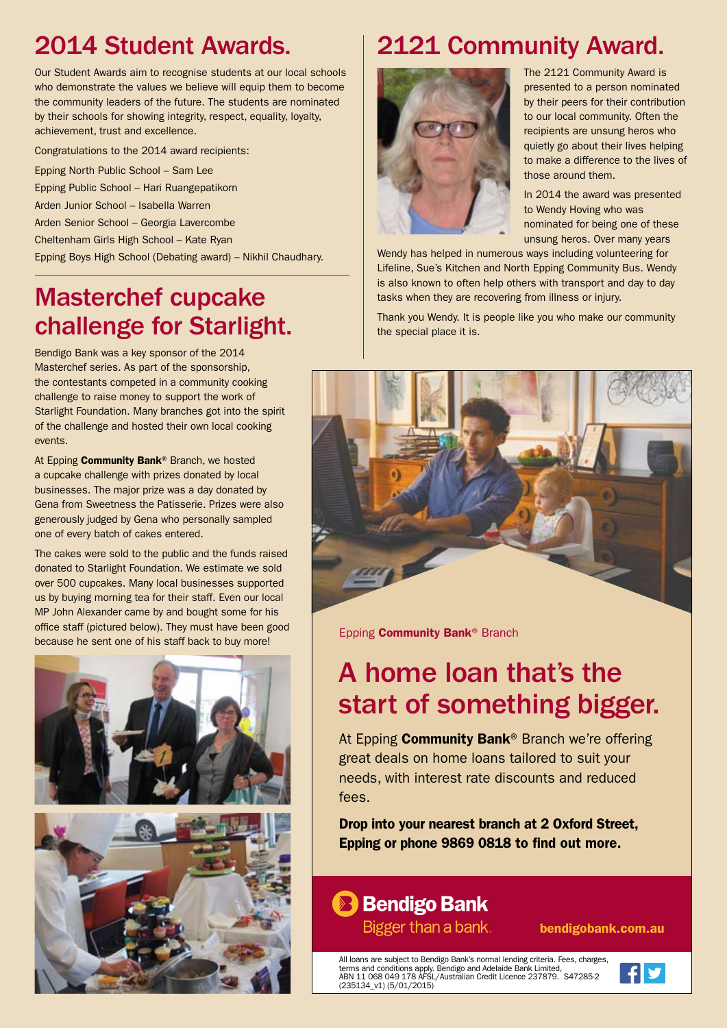#### 2014 Student Awards.

Our Student Awards aim to recognise students at our local schools who demonstrate the values we believe will equip them to become the community leaders of the future. The students are nominated by their schools for showing integrity, respect, equality, loyalty, achievement, trust and excellence.

Congratulations to the 2014 award recipients:

Epping North Public School – Sam Lee Epping Public School – Hari Ruangepatikorn Arden Junior School – Isabella Warren Arden Senior School – Georgia Lavercombe Cheltenham Girls High School – Kate Ryan

Epping Boys High School (Debating award) – Nikhil Chaudhary.

#### Masterchef cupcake challenge for Starlight.

Bendigo Bank was a key sponsor of the 2014 Masterchef series. As part of the sponsorship, the contestants competed in a community cooking challenge to raise money to support the work of Starlight Foundation. Many branches got into the spirit of the challenge and hosted their own local cooking events.

At Epping Community Bank<sup>®</sup> Branch, we hosted a cupcake challenge with prizes donated by local businesses. The major prize was a day donated by Gena from Sweetness the Patisserie. Prizes were also generously judged by Gena who personally sampled one of every batch of cakes entered.

The cakes were sold to the public and the funds raised donated to Starlight Foundation. We estimate we sold over 500 cupcakes. Many local businesses supported us by buying morning tea for their staff. Even our local MP John Alexander came by and bought some for his office staff (pictured below). They must have been good because he sent one of his staff back to buy more!





# 2121 Community Award.



The 2121 Community Award is presented to a person nominated by their peers for their contribution to our local community. Often the recipients are unsung heros who quietly go about their lives helping to make a difference to the lives of those around them.

In 2014 the award was presented to Wendy Hoving who was nominated for being one of these unsung heros. Over many years

Wendy has helped in numerous ways including volunteering for Lifeline, Sue's Kitchen and North Epping Community Bus. Wendy is also known to often help others with transport and day to day tasks when they are recovering from illness or injury.

Thank you Wendy. It is people like you who make our community the special place it is.



Epping **Community Bank® Branch** 

## A home loan that's the start of something bigger.

At Epping Community Bank® Branch we're offering great deals on home loans tailored to suit your needs, with interest rate discounts and reduced fees.

Drop into your nearest branch at 2 Oxford Street, Epping or phone 9869 0818 to find out more.



bendigobank.com.au

All loans are subject to Bendigo Bank's normal lending criteria. Fees, charges, terms and conditions apply. Bendigo and Adelaide Bank Limited, ABN 11 068 049 178 AFSL/Australian Credit Licence 237879. S47285-2 (235134\_v1) (5/01/2015)

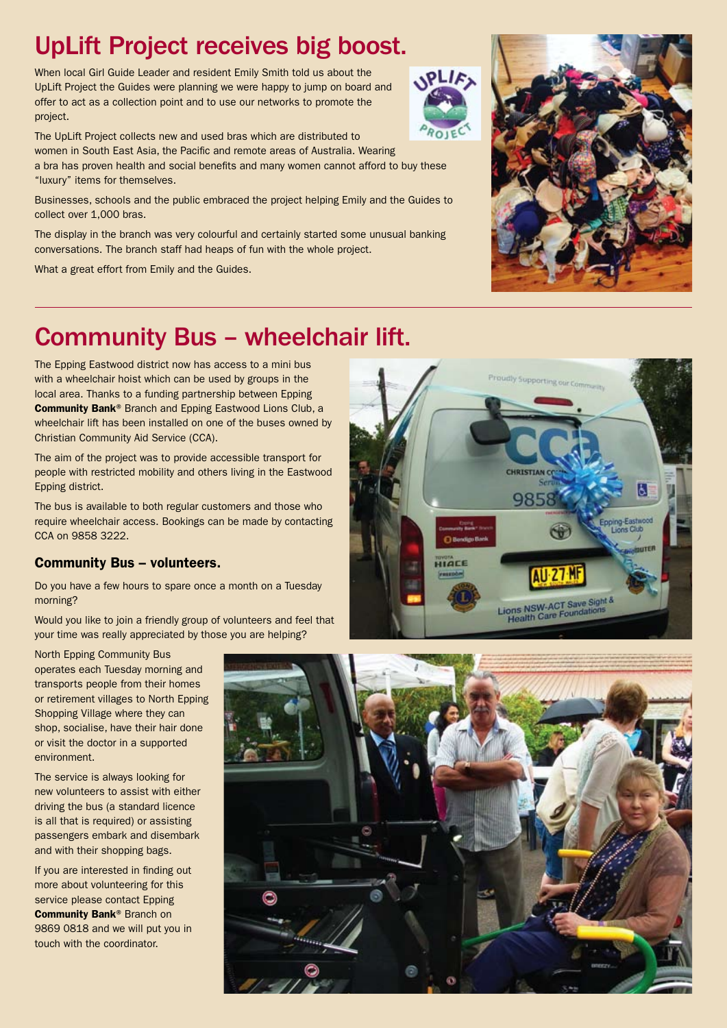#### UpLift Project receives big boost.

When local Girl Guide Leader and resident Emily Smith told us about the UpLift Project the Guides were planning we were happy to jump on board and offer to act as a collection point and to use our networks to promote the project.

The UpLift Project collects new and used bras which are distributed to women in South East Asia, the Pacific and remote areas of Australia. Wearing a bra has proven health and social benefits and many women cannot afford to buy these "luxury" items for themselves.

Businesses, schools and the public embraced the project helping Emily and the Guides to collect over 1,000 bras.

The display in the branch was very colourful and certainly started some unusual banking conversations. The branch staff had heaps of fun with the whole project.

What a great effort from Emily and the Guides.



#### Community Bus – wheelchair lift.

The Epping Eastwood district now has access to a mini bus with a wheelchair hoist which can be used by groups in the local area. Thanks to a funding partnership between Epping Community Bank® Branch and Epping Eastwood Lions Club, a wheelchair lift has been installed on one of the buses owned by Christian Community Aid Service (CCA).

The aim of the project was to provide accessible transport for people with restricted mobility and others living in the Eastwood Epping district.

The bus is available to both regular customers and those who require wheelchair access. Bookings can be made by contacting CCA on 9858 3222.

#### Community Bus – volunteers.

Do you have a few hours to spare once a month on a Tuesday morning?

Would you like to join a friendly group of volunteers and feel that your time was really appreciated by those you are helping?

North Epping Community Bus operates each Tuesday morning and transports people from their homes or retirement villages to North Epping Shopping Village where they can shop, socialise, have their hair done or visit the doctor in a supported environment.

The service is always looking for new volunteers to assist with either driving the bus (a standard licence is all that is required) or assisting passengers embark and disembark and with their shopping bags.

If you are interested in finding out more about volunteering for this service please contact Epping Community Bank® Branch on 9869 0818 and we will put you in touch with the coordinator.